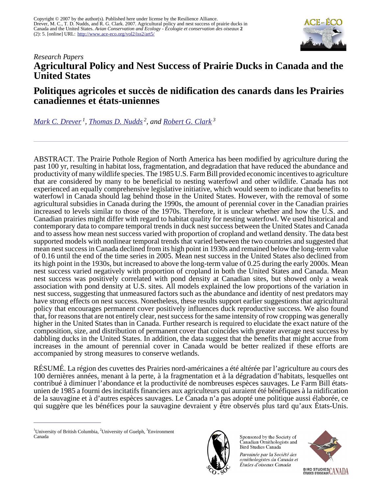

# *Research Papers* **Agricultural Policy and Nest Success of Prairie Ducks in Canada and the United States**

# **Politiques agricoles et succès de nidification des canards dans les Prairies canadiennes et états-uniennes**

*[Mark C. Drever](mailto:mark.drever@ubc.ca)<sup>1</sup> , [Thomas D. Nudds](mailto:tnudds@uoguelph.ca)<sup>2</sup>, and [Robert G. Clark](mailto:bob.clark@ec.gc.ca)<sup>3</sup>*

ABSTRACT. The Prairie Pothole Region of North America has been modified by agriculture during the past 100 yr, resulting in habitat loss, fragmentation, and degradation that have reduced the abundance and productivity of many wildlife species. The 1985 U.S. Farm Bill provided economic incentives to agriculture that are considered by many to be beneficial to nesting waterfowl and other wildlife. Canada has not experienced an equally comprehensive legislative initiative, which would seem to indicate that benefits to waterfowl in Canada should lag behind those in the United States. However, with the removal of some agricultural subsidies in Canada during the 1990s, the amount of perennial cover in the Canadian prairies increased to levels similar to those of the 1970s. Therefore, it is unclear whether and how the U.S. and Canadian prairies might differ with regard to habitat quality for nesting waterfowl. We used historical and contemporary data to compare temporal trends in duck nest success between the United States and Canada and to assess how mean nest success varied with proportion of cropland and wetland density. The data best supported models with nonlinear temporal trends that varied between the two countries and suggested that mean nest success in Canada declined from its high point in 1930s and remained below the long-term value of 0.16 until the end of the time series in 2005. Mean nest success in the United States also declined from its high point in the 1930s, but increased to above the long-term value of 0.25 during the early 2000s. Mean nest success varied negatively with proportion of cropland in both the United States and Canada. Mean nest success was positively correlated with pond density at Canadian sites, but showed only a weak association with pond density at U.S. sites. All models explained the low proportions of the variation in nest success, suggesting that unmeasured factors such as the abundance and identity of nest predators may have strong effects on nest success. Nonetheless, these results support earlier suggestions that agricultural policy that encourages permanent cover positively influences duck reproductive success. We also found that, for reasons that are not entirely clear, nest success for the same intensity of row cropping was generally higher in the United States than in Canada. Further research is required to elucidate the exact nature of the composition, size, and distribution of permanent cover that coincides with greater average nest success by dabbling ducks in the United States. In addition, the data suggest that the benefits that might accrue from increases in the amount of perennial cover in Canada would be better realized if these efforts are accompanied by strong measures to conserve wetlands.

RÉSUMÉ. La région des cuvettes des Prairies nord-américaines a été altérée par l'agriculture au cours des 100 dernières années, menant à la perte, à la fragmentation et à la dégradation d'habitats, lesquelles ont contribué à diminuer l'abondance et la productivité de nombreuses espèces sauvages. Le Farm Bill étatsunien de 1985 a fourni des incitatifs financiers aux agriculteurs qui auraient été bénéfiques à la nidification de la sauvagine et à d'autres espèces sauvages. Le Canada n'a pas adopté une politique aussi élaborée, ce qui suggère que les bénéfices pour la sauvagine devraient y être observés plus tard qu'aux États-Unis.



Sponsored by the Society of Canadian Ornithologists and Bird Studies Canada

Parrainée par la Société des ornithologistes du Canada et Études d'oiseaux Canada



<sup>&</sup>lt;sup>1</sup>University of British Columbia, <sup>2</sup>University of Guelph, <sup>3</sup>Environment Canada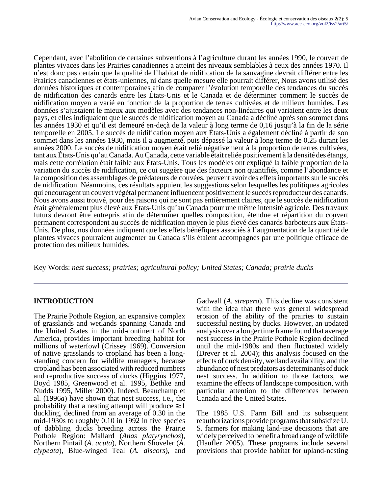Cependant, avec l'abolition de certaines subventions à l'agriculture durant les années 1990, le couvert de plantes vivaces dans les Prairies canadiennes a atteint des niveaux semblables à ceux des années 1970. Il n'est donc pas certain que la qualité de l'habitat de nidification de la sauvagine devrait différer entre les Prairies canadiennes et états-uniennes, ni dans quelle mesure elle pourrait différer, Nous avons utilisé des données historiques et contemporaines afin de comparer l'évolution temporelle des tendances du succès de nidification des canards entre les États-Unis et le Canada et de déterminer comment le succès de nidification moyen a varié en fonction de la proportion de terres cultivées et de milieux humides. Les données s'ajustaient le mieux aux modèles avec des tendances non-linéaires qui variaient entre les deux pays, et elles indiquaient que le succès de nidification moyen au Canada a décliné après son sommet dans les années 1930 et qu'il est demeuré en-deçà de la valeur à long terme de 0,16 jusqu'à la fin de la série temporelle en 2005. Le succès de nidification moyen aux États-Unis a également décliné à partir de son sommet dans les années 1930, mais il a augmenté, puis dépassé la valeur à long terme de 0,25 durant les années 2000. Le succès de nidification moyen était relié négativement à la proportion de terres cultivées, tant aux États-Unis qu'au Canada. Au Canada, cette variable était reliée positivement à la densité des étangs, mais cette corrélation était faible aux États-Unis. Tous les modèles ont expliqué la faible proportion de la variation du succès de nidification, ce qui suggère que des facteurs non quantifiés, comme l'abondance et la composition des assemblages de prédateurs de couvées, peuvent avoir des effets importants sur le succès de nidification. Néanmoins, ces résultats appuient les suggestions selon lesquelles les politiques agricoles qui encouragent un couvert végétal permanent influencent positivement le succès reproducteur des canards. Nous avons aussi trouvé, pour des raisons qui ne sont pas entièrement claires, que le succès de nidification était généralement plus élevé aux États-Unis qu'au Canada pour une même intensité agricole. Des travaux futurs devront être entrepris afin de déterminer quelles composition, étendue et répartition du couvert permanent correspondent au succès de nidification moyen le plus élevé des canards barboteurs aux États-Unis. De plus, nos données indiquent que les effets bénéfiques associés à l'augmentation de la quantité de plantes vivaces pourraient augmenter au Canada s'ils étaient accompagnés par une politique efficace de protection des milieux humides.

Key Words: *nest success; prairies; agricultural policy; United States; Canada; prairie ducks*

### **INTRODUCTION**

The Prairie Pothole Region, an expansive complex of grasslands and wetlands spanning Canada and the United States in the mid-continent of North America, provides important breeding habitat for millions of waterfowl (Crissey 1969). Conversion of native grasslands to cropland has been a longstanding concern for wildlife managers, because cropland has been associated with reduced numbers and reproductive success of ducks (Higgins 1977, Boyd 1985, Greenwood et al. 1995, Bethke and Nudds 1995, Miller 2000). Indeed, Beauchamp et al. (1996*a*) have shown that nest success, i.e., the probability that a nesting attempt will produce  $\geq 1$ duckling, declined from an average of 0.30 in the mid-1930s to roughly 0.10 in 1992 in five species of dabbling ducks breeding across the Prairie Pothole Region: Mallard (*Anas platyrynchos*), Northern Pintail (*A. acuta*), Northern Shoveler (*A. clypeata*), Blue-winged Teal (*A. discors*), and

Gadwall (*A. strepera*). This decline was consistent with the idea that there was general widespread erosion of the ability of the prairies to sustain successful nesting by ducks. However, an updated analysis over a longer time frame found that average nest success in the Prairie Pothole Region declined until the mid-1980s and then fluctuated widely (Drever et al. 2004); this analysis focused on the effects of duck density, wetland availability, and the abundance of nest predators as determinants of duck nest success. In addition to those factors, we examine the effects of landscape composition, with particular attention to the differences between Canada and the United States.

The 1985 U.S. Farm Bill and its subsequent reauthorizations provide programs that subsidize U. S. farmers for making land-use decisions that are widely perceived to benefit a broad range of wildlife (Haufler 2005). These programs include several provisions that provide habitat for upland-nesting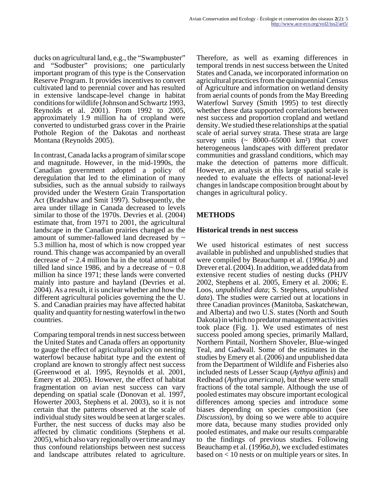ducks on agricultural land, e.g., the "Swampbuster" and "Sodbuster" provisions; one particularly important program of this type is the Conservation Reserve Program. It provides incentives to convert cultivated land to perennial cover and has resulted in extensive landscape-level change in habitat conditions for wildlife (Johnson and Schwartz 1993, Reynolds et al. 2001). From 1992 to 2005, approximately 1.9 million ha of cropland were converted to undisturbed grass cover in the Prairie Pothole Region of the Dakotas and northeast Montana (Reynolds 2005).

In contrast, Canada lacks a program of similar scope and magnitude. However, in the mid-1990s, the Canadian government adopted a policy of deregulation that led to the elimination of many subsidies, such as the annual subsidy to railways provided under the Western Grain Transportation Act (Bradshaw and Smit 1997). Subsequently, the area under tillage in Canada decreased to levels similar to those of the 1970s. Devries et al. (2004) estimate that, from 1971 to 2001, the agricultural landscape in the Canadian prairies changed as the amount of summer-fallowed land decreased by  $\sim$ 5.3 million ha, most of which is now cropped year round. This change was accompanied by an overall decrease of  $\sim$  2.4 million ha in the total amount of tilled land since 1986, and by a decrease of  $\sim 0.8$ million ha since 1971; these lands were converted mainly into pasture and hayland (Devries et al. 2004). As a result, it is unclear whether and how the different agricultural policies governing the the U. S. and Canadian prairies may have affected habitat quality and quantity for nesting waterfowl in the two countries.

Comparing temporal trends in nest success between the United States and Canada offers an opportunity to gauge the effect of agricultural policy on nesting waterfowl because habitat type and the extent of cropland are known to strongly affect nest success (Greenwood et al. 1995, Reynolds et al. 2001, Emery et al. 2005). However, the effect of habitat fragmentation on avian nest success can vary depending on spatial scale (Donovan et al. 1997, Howerter 2003, Stephens et al. 2003), so it is not certain that the patterns observed at the scale of individual study sites would be seen at larger scales. Further, the nest success of ducks may also be affected by climatic conditions (Stephens et al. 2005), which also vary regionally over time and may thus confound relationships between nest success and landscape attributes related to agriculture.

Therefore, as well as examing differences in temporal trends in nest success between the United States and Canada, we incorporated information on agricultural practices from the quinquennial Census of Agriculture and information on wetland density from aerial counts of ponds from the May Breeding Waterfowl Survey (Smith 1995) to test directly whether these data supported correlations between nest success and proportion cropland and wetland density. We studied these relationships at the spatial scale of aerial survey strata. These strata are large survey units  $\sim 8000-65000$  km<sup>2</sup>) that cover heterogeneous landscapes with different predator communities and grassland conditions, which may make the detection of patterns more difficult. However, an analysis at this large spatial scale is needed to evaluate the effects of national-level changes in landscape composition brought about by changes in agricultural policy.

# **METHODS**

# **Historical trends in nest success**

We used historical estimates of nest success available in published and unpublished studies that were compiled by Beauchamp et al. (1996*a,b*) and Drever et al. (2004). In addition, we added data from extensive recent studies of nesting ducks (PHJV 2002, Stephens et al. 2005, Emery et al. 2006; E. Loos, *unpublished data*; S. Stephens, *unpublished data*). The studies were carried out at locations in three Canadian provinces (Manitoba, Saskatchewan, and Alberta) and two U.S. states (North and South Dakota) in which no predator management activities took place (Fig. 1). We used estimates of nest success pooled among species, primarily Mallard, Northern Pintail, Northern Shoveler, Blue-winged Teal, and Gadwall. Some of the estimates in the studies by Emery et al. (2006) and unpublished data from the Department of Wildlife and Fisheries also included nests of Lesser Scaup (*Aythya affinis*) and Redhead (*Aythya americana*), but these were small fractions of the total sample. Although the use of pooled estimates may obscure important ecological differences among species and introduce some biases depending on species composition (see *Discussion*), by doing so we were able to acquire more data, because many studies provided only pooled estimates, and make our results comparable to the findings of previous studies. Following Beauchamp et al. (1996*a,b*), we excluded estimates based on < 10 nests or on multiple years or sites. In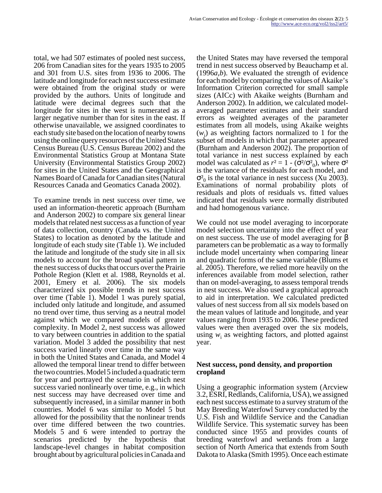total, we had 507 estimates of pooled nest success, 206 from Canadian sites for the years 1935 to 2005 and 301 from U.S. sites from 1936 to 2006. The latitude and longitude for each nest success estimate were obtained from the original study or were provided by the authors. Units of longitude and latitude were decimal degrees such that the longitude for sites in the west is numerated as a larger negative number than for sites in the east. If otherwise unavailable, we assigned coordinates to each study site based on the location of nearby towns using the online query resources of the United States Census Bureau (U.S. Census Bureau 2002) and the Environmental Statistics Group at Montana State University (Environmental Statistics Group 2002) for sites in the United States and the Geographical Names Board of Canada for Canadian sites (Natural Resources Canada and Geomatics Canada 2002).

To examine trends in nest success over time, we used an information-theoretic approach (Burnham and Anderson 2002) to compare six general linear models that related nest success as a function of year of data collection, country (Canada vs. the United States) to location as denoted by the latitude and longitude of each study site (Table 1). We included the latitude and longitude of the study site in all six models to account for the broad spatial pattern in the nest success of ducks that occurs over the Prairie Pothole Region (Klett et al. 1988, Reynolds et al. 2001, Emery et al. 2006). The six models characterized six possible trends in nest success over time (Table 1). Model 1 was purely spatial, included only latitude and longitude, and assumed no trend over time, thus serving as a neutral model against which we compared models of greater complexity. In Model 2, nest success was allowed to vary between countries in addition to the spatial variation. Model 3 added the possibility that nest success varied linearly over time in the same way in both the United States and Canada, and Model 4 allowed the temporal linear trend to differ between the two countries. Model 5 included a quadratic term for year and portrayed the scenario in which nest success varied nonlinearly over time, e.g., in which nest success may have decreased over time and subsequently increased, in a similar manner in both countries. Model 6 was similar to Model 5 but allowed for the possibility that the nonlinear trends over time differed between the two countries. Models 5 and 6 were intended to portray the scenarios predicted by the hypothesis that landscape-level changes in habitat composition brought about by agricultural policies in Canada and the United States may have reversed the temporal trend in nest success observed by Beauchamp et al. (1996*a,b*). We evaluated the strength of evidence for each model by comparing the values of Akaike's Information Criterion corrected for small sample sizes (AICc) with Akaike weights (Burnham and Anderson 2002). In addition, we calculated modelaveraged parameter estimates and their standard errors as weighted averages of the parameter estimates from all models, using Akaike weights  $(w<sub>j</sub>)$  as weighting factors normalized to 1 for the subset of models in which that parameter appeared (Burnham and Anderson 2002). The proportion of total variance in nest success explained by each model was calculated as  $r^2 = 1 - (\sigma^2/\sigma^2)$ , where  $\sigma^2$ is the variance of the residuals for each model, and  $\sigma_{0}^{2}$  is the total variance in nest success (Xu 2003). Examinations of normal probability plots of residuals and plots of residuals vs. fitted values indicated that residuals were normally distributed and had homogenous variance.

We could not use model averaging to incorporate model selection uncertainty into the effect of year on nest success. The use of model averaging for β parameters can be problematic as a way to formally include model uncertainty when comparing linear and quadratic forms of the same variable (Blums et al. 2005). Therefore, we relied more heavily on the inferences available from model selection, rather than on model-averaging, to assess temporal trends in nest success. We also used a graphical approach to aid in interpretation. We calculated predicted values of nest success from all six models based on the mean values of latitude and longitude, and year values ranging from 1935 to 2006. These predicted values were then averaged over the six models, using  $w_i$  as weighting factors, and plotted against year.

#### **Nest success, pond density, and proportion cropland**

Using a geographic information system (Arcview 3.2, ESRI, Redlands, California, USA), we assigned each nest success estimate to a survey stratum of the May Breeding Waterfowl Survey conducted by the U.S. Fish and Wildlife Service and the Canadian Wildlife Service. This systematic survey has been conducted since 1955 and provides counts of breeding waterfowl and wetlands from a large section of North America that extends from South Dakota to Alaska (Smith 1995). Once each estimate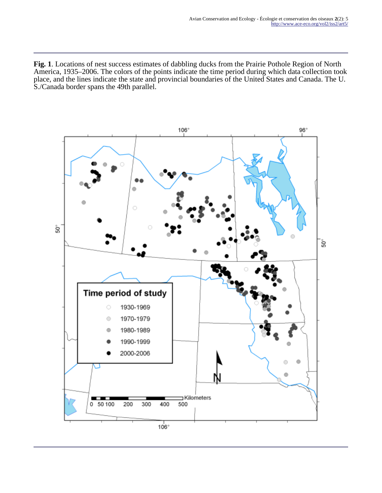**Fig. 1**. Locations of nest success estimates of dabbling ducks from the Prairie Pothole Region of North America, 1935–2006. The colors of the points indicate the time period during which data collection took place, and the lines indicate the state and provincial boundaries of the United States and Canada. The U. S./Canada border spans the 49th parallel.

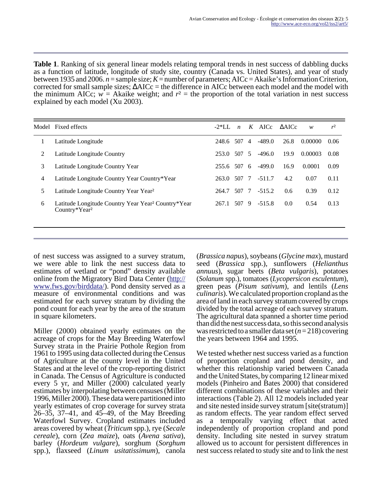**Table 1**. Ranking of six general linear models relating temporal trends in nest success of dabbling ducks as a function of latitude, longitude of study site, country (Canada vs. United States), and year of study between 1935 and 2006. *n* = sample size; *K* = number of parameters; AICc = Akaike's Information Criterion, corrected for small sample sizes;  $\Delta AICc$  = the difference in AICc between each model and the model with the minimum AICc;  $w =$  Akaike weight; and  $r^2 =$  the proportion of the total variation in nest success explained by each model (Xu 2003).

|   | Model Fixed effects                                                                         | $-2*LL$ | $\boldsymbol{n}$ |                |          | $K$ AICc $AAICc$ | W       | $r^2$ |
|---|---------------------------------------------------------------------------------------------|---------|------------------|----------------|----------|------------------|---------|-------|
|   | Latitude Longitude                                                                          | 248.6   | 507              | 4              | $-489.0$ | 26.8             | 0.00000 | 0.06  |
| 2 | Latitude Longitude Country                                                                  | 253.0   | 507              | 5 <sup>5</sup> | -496.0   | 19.9             | 0.00003 | 0.08  |
| 3 | Latitude Longitude Country Year                                                             | 255.6   | 507 6            |                | -499.0   | 16.9             | 0.0001  | 0.09  |
| 4 | Latitude Longitude Country Year Country*Year                                                | 263.0   | 507 7            |                | $-511.7$ | 4.2              | 0.07    | 0.11  |
| 5 | Latitude Longitude Country Year Year <sup>2</sup>                                           | 264.7   | 507 7            |                | $-515.2$ | 0.6              | 0.39    | 0.12  |
| 6 | Latitude Longitude Country Year Year <sup>2</sup> Country*Year<br>Country*Year <sup>2</sup> | 267.1   | 507 9            |                | $-515.8$ | 0.0              | 0.54    | 0.13  |
|   |                                                                                             |         |                  |                |          |                  |         |       |

of nest success was assigned to a survey stratum, we were able to link the nest success data to estimates of wetland or "pond" density available online from the Migratory Bird Data Center ([http://](http://www.fws.gov/birddata/) [www.fws.gov/birddata/](http://www.fws.gov/birddata/)). Pond density served as a measure of environmental conditions and was estimated for each survey stratum by dividing the pond count for each year by the area of the stratum in square kilometers.

Miller (2000) obtained yearly estimates on the acreage of crops for the May Breeding Waterfowl Survey strata in the Prairie Pothole Region from 1961 to 1995 using data collected during the Census of Agriculture at the county level in the United States and at the level of the crop-reporting district in Canada. The Census of Agriculture is conducted every 5 yr, and Miller (2000) calculated yearly estimates by interpolating between censuses (Miller 1996, Miller 2000). These data were partitioned into yearly estimates of crop coverage for survey strata 26–35, 37–41, and 45–49, of the May Breeding Waterfowl Survey. Cropland estimates included areas covered by wheat (*Triticum* spp.), rye (*Secale cereale*), corn (*Zea maize*), oats (*Avena sativa*), barley (*Hordeum vulgare*), sorghum (*Sorghum* spp.), flaxseed (*Linum usitatissimum*), canola

(*Brassica napus*), soybeans (*Glycine max*), mustard seed (*Brassica* spp.), sunflowers (*Helianthus annuus*), sugar beets (*Beta vulgaris*), potatoes (*Solanum* spp.), tomatoes (*Lycopersicon esculentum*), green peas (*Pisum sativum*), and lentils (*Lens culinaris*). We calculated proportion cropland as the area of land in each survey stratum covered by crops divided by the total acreage of each survey stratum. The agricultural data spanned a shorter time period than did the nest success data, so this second analysis was restricted to a smaller data set (*n* = 218) covering the years between 1964 and 1995.

We tested whether nest success varied as a function of proportion cropland and pond density, and whether this relationship varied between Canada and the United States, by comparing 12 linear mixed models (Pinheiro and Bates 2000) that considered different combinations of these variables and their interactions (Table 2). All 12 models included year and site nested inside survey stratum [site(stratum)] as random effects. The year random effect served as a temporally varying effect that acted independently of proportion cropland and pond density. Including site nested in survey stratum allowed us to account for persistent differences in nest success related to study site and to link the nest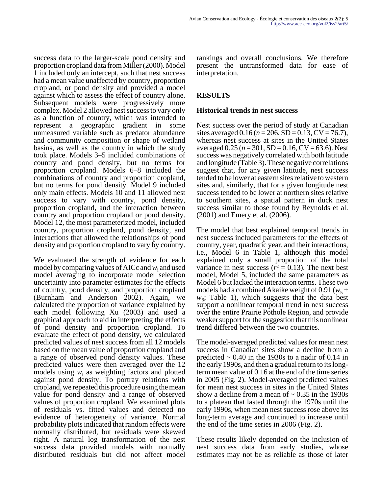success data to the larger-scale pond density and proportion cropland data from Miller (2000). Model 1 included only an intercept, such that nest success had a mean value unaffected by country, proportion cropland, or pond density and provided a model against which to assess the effect of country alone. Subsequent models were progressively more complex. Model 2 allowed nest success to vary only as a function of country, which was intended to represent a geographic gradient in some unmeasured variable such as predator abundance and community composition or shape of wetland basins, as well as the country in which the study took place. Models 3–5 included combinations of country and pond density, but no terms for proportion cropland. Models 6–8 included the combinations of country and proportion cropland, but no terms for pond density. Model 9 included only main effects. Models 10 and 11 allowed nest success to vary with country, pond density, proportion cropland, and the interaction between country and proportion cropland or pond density. Model 12, the most parameterized model, included country, proportion cropland, pond density, and interactions that allowed the relationships of pond density and proportion cropland to vary by country.

We evaluated the strength of evidence for each model by comparing values of AICc and  $w_i$  and used model averaging to incorporate model selection uncertainty into parameter estimates for the effects of country, pond density, and proportion cropland (Burnham and Anderson 2002). Again, we calculated the proportion of variance explained by each model following Xu (2003) and used a graphical approach to aid in interpreting the effects of pond density and proportion cropland. To evaluate the effect of pond density, we calculated predicted values of nest success from all 12 models based on the mean value of proportion cropland and a range of observed pond density values. These predicted values were then averaged over the 12 models using  $w_i$  as weighting factors and plotted against pond density. To portray relations with cropland, we repeated this procedure using the mean value for pond density and a range of observed values of proportion cropland. We examined plots of residuals vs. fitted values and detected no evidence of heterogeneity of variance. Normal probability plots indicated that random effects were normally distributed, but residuals were skewed right. A natural log transformation of the nest success data provided models with normally distributed residuals but did not affect model

rankings and overall conclusions. We therefore present the untransformed data for ease of interpretation.

# **RESULTS**

## **Historical trends in nest success**

Nest success over the period of study at Canadian sites averaged  $0.16$  ( $n = 206$ , SD = 0.13, CV = 76.7), whereas nest success at sites in the United States averaged  $0.25$  ( $n = 301$ , SD = 0.16, CV = 63.6). Nest success was negatively correlated with both latitude and longitude (Table 3). These negative correlations suggest that, for any given latitude, nest success tended to be lower at eastern sites relative to western sites and, similarly, that for a given longitude nest success tended to be lower at northern sites relative to southern sites, a spatial pattern in duck nest success similar to those found by Reynolds et al. (2001) and Emery et al. (2006).

The model that best explained temporal trends in nest success included parameters for the effects of country, year, quadratic year, and their interactions, i.e., Model 6 in Table 1, although this model explained only a small proportion of the total variance in nest success ( $r^2 = 0.13$ ). The next best model, Model 5, included the same parameters as Model 6 but lacked the interaction terms. These two models had a combined Akaike weight of  $0.91(w_5 +$  $w_6$ ; Table 1), which suggests that the data best support a nonlinear temporal trend in nest success over the entire Prairie Pothole Region, and provide weaker support for the suggestion that this nonlinear trend differed between the two countries.

The model-averaged predicted values for mean nest success in Canadian sites show a decline from a predicted  $\sim 0.40$  in the 1930s to a nadir of 0.14 in the early 1990s, and then a gradual return to its longterm mean value of 0.16 at the end of the time series in 2005 (Fig. 2). Model-averaged predicted values for mean nest success in sites in the United States show a decline from a mean of  $\sim 0.35$  in the 1930s to a plateau that lasted through the 1970s until the early 1990s, when mean nest success rose above its long-term average and continued to increase until the end of the time series in 2006 (Fig. 2).

These results likely depended on the inclusion of nest success data from early studies, whose estimates may not be as reliable as those of later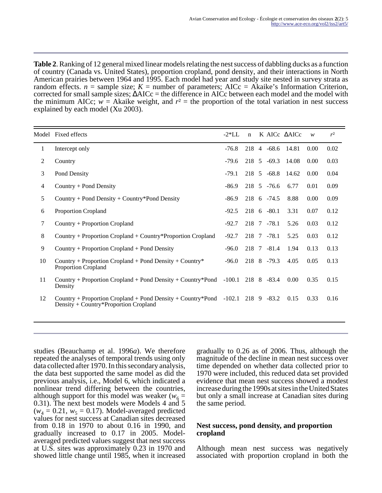**Table 2**. Ranking of 12 general mixed linear models relating the nest success of dabbling ducks as a function of country (Canada vs. United States), proportion cropland, pond density, and their interactions in North American prairies between 1964 and 1995. Each model had year and study site nested in survey strata as random effects.  $n =$  sample size;  $K =$  number of parameters; AICc = Akaike's Information Criterion, corrected for small sample sizes; ∆AICc = the difference in AICc between each model and the model with the minimum AICc;  $w = Akaike$  weight, and  $r^2 =$  the proportion of the total variation in nest success explained by each model (Xu 2003).

|                | Model Fixed effects                                                                                                         | $-2*LL$ | $\mathbf n$ |                           | K AICc AAICc | W    | $r^2$ |
|----------------|-----------------------------------------------------------------------------------------------------------------------------|---------|-------------|---------------------------|--------------|------|-------|
| 1              | Intercept only                                                                                                              | $-76.8$ | 218         | $4 -68.6$                 | 14.81        | 0.00 | 0.02  |
| $\overline{2}$ | Country                                                                                                                     | $-79.6$ |             | $218 \quad 5 \quad -69.3$ | 14.08        | 0.00 | 0.03  |
| 3              | Pond Density                                                                                                                | $-79.1$ |             | 218 5 -68.8               | 14.62        | 0.00 | 0.04  |
| 4              | Country + Pond Density                                                                                                      | $-86.9$ |             | 218 5 -76.6               | 6.77         | 0.01 | 0.09  |
| 5              | Country + Pond Density + Country*Pond Density                                                                               | $-86.9$ |             | 218 6 -74.5               | 8.88         | 0.00 | 0.09  |
| 6              | <b>Proportion Cropland</b>                                                                                                  | $-92.5$ |             | 218 6 -80.1               | 3.31         | 0.07 | 0.12  |
| 7              | Country + Proportion Cropland                                                                                               | $-92.7$ |             | 218 7 -78.1               | 5.26         | 0.03 | 0.12  |
| $\,8\,$        | Country + Proportion Cropland + Country*Proportion Cropland                                                                 | $-92.7$ |             | 218 7 -78.1               | 5.25         | 0.03 | 0.12  |
| 9              | Country + Proportion Cropland + Pond Density                                                                                | $-96.0$ | 218         | 7 -81.4                   | 1.94         | 0.13 | 0.13  |
| 10             | Country + Proportion Cropland + Pond Density + Country*<br><b>Proportion Cropland</b>                                       | $-96.0$ |             | 218 8 -79.3               | 4.05         | 0.05 | 0.13  |
| 11             | Country + Proportion Cropland + Pond Density + Country*Pond $-100.1$<br>Density                                             |         |             | 218 8 -83.4               | $0.00\,$     | 0.35 | 0.15  |
| 12             | Country + Proportion Cropland + Pond Density + Country*Pond $-102.1$ 218 9 $-83.2$<br>Density + Country*Proportion Cropland |         |             |                           | 0.15         | 0.33 | 0.16  |
|                |                                                                                                                             |         |             |                           |              |      |       |

studies (Beauchamp et al. 1996*a*). We therefore repeated the analyses of temporal trends using only data collected after 1970. In this secondary analysis, the data best supported the same model as did the previous analysis, i.e., Model 6, which indicated a nonlinear trend differing between the countries, although support for this model was weaker ( $w_6$  = 0.31). The next best models were Models 4 and 5  $(w_4 = 0.21, w_5 = 0.17)$ . Model-averaged predicted values for nest success at Canadian sites decreased from 0.18 in 1970 to about 0.16 in 1990, and gradually increased to 0.17 in 2005. Modelaveraged predicted values suggest that nest success at U.S. sites was approximately 0.23 in 1970 and showed little change until 1985, when it increased gradually to 0.26 as of 2006. Thus, although the magnitude of the decline in mean nest success over time depended on whether data collected prior to 1970 were included, this reduced data set provided evidence that mean nest success showed a modest increase during the 1990s at sites in the United States but only a small increase at Canadian sites during the same period.

#### **Nest success, pond density, and proportion cropland**

Although mean nest success was negatively associated with proportion cropland in both the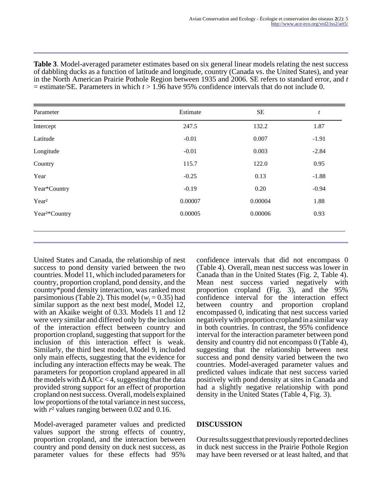**Table 3**. Model-averaged parameter estimates based on six general linear models relating the nest success of dabbling ducks as a function of latitude and longitude, country (Canada vs. the United States), and year in the North American Prairie Pothole Region between 1935 and 2006. SE refers to standard error, and *t* = estimate/SE. Parameters in which *t* > 1.96 have 95% confidence intervals that do not include 0.

| Parameter                  | Estimate | <b>SE</b> | $\boldsymbol{t}$ |  |
|----------------------------|----------|-----------|------------------|--|
| Intercept                  | 247.5    | 132.2     | 1.87             |  |
| Latitude                   | $-0.01$  | 0.007     | $-1.91$          |  |
| Longitude                  | $-0.01$  | 0.003     | $-2.84$          |  |
| Country                    | 115.7    | 122.0     | 0.95             |  |
| Year                       | $-0.25$  | 0.13      | $-1.88$          |  |
| Year*Country               | $-0.19$  | 0.20      | $-0.94$          |  |
| Year <sup>2</sup>          | 0.00007  | 0.00004   | 1.88             |  |
| Year <sup>2*</sup> Country | 0.00005  | 0.00006   | 0.93             |  |

United States and Canada, the relationship of nest success to pond density varied between the two countries. Model 11, which included parameters for country, proportion cropland, pond density, and the country\*pond density interaction, was ranked most parsimonious (Table 2). This model  $(w_i = 0.35)$  had similar support as the next best model, Model 12, with an Akaike weight of 0.33. Models 11 and 12 were very similar and differed only by the inclusion of the interaction effect between country and proportion cropland, suggesting that support for the inclusion of this interaction effect is weak. Similarly, the third best model, Model 9, included only main effects, suggesting that the evidence for including any interaction effects may be weak. The parameters for proportion cropland appeared in all the models with  $\Delta AICc < 4$ , suggesting that the data provided strong support for an effect of proportion cropland on nest success. Overall, models explained low proportions of the total variance in nest success, with  $r<sup>2</sup>$  values ranging between 0.02 and 0.16.

Model-averaged parameter values and predicted values support the strong effects of country, proportion cropland, and the interaction between country and pond density on duck nest success, as parameter values for these effects had 95%

confidence intervals that did not encompass 0 (Table 4). Overall, mean nest success was lower in Canada than in the United States (Fig. 2, Table 4). Mean nest success varied negatively with proportion cropland (Fig. 3), and the 95% confidence interval for the interaction effect between country and proportion cropland encompassed 0, indicating that nest success varied negatively with proportion cropland in a similar way in both countries. In contrast, the 95% confidence interval for the interaction parameter between pond density and country did not encompass 0 (Table 4), suggesting that the relationship between nest success and pond density varied between the two countries. Model-averaged parameter values and predicted values indicate that nest success varied positively with pond density at sites in Canada and had a slightly negative relationship with pond density in the United States (Table 4, Fig. 3).

# **DISCUSSION**

Our results suggest that previously reported declines in duck nest success in the Prairie Pothole Region may have been reversed or at least halted, and that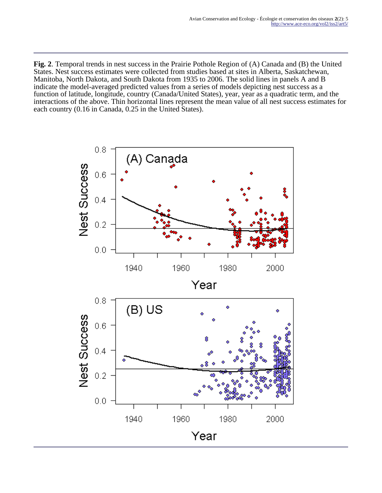**Fig. 2**. Temporal trends in nest success in the Prairie Pothole Region of (A) Canada and (B) the United States. Nest success estimates were collected from studies based at sites in Alberta, Saskatchewan, Manitoba, North Dakota, and South Dakota from 1935 to 2006. The solid lines in panels A and B indicate the model-averaged predicted values from a series of models depicting nest success as a function of latitude, longitude, country (Canada/United States), year, year as a quadratic term, and the interactions of the above. Thin horizontal lines represent the mean value of all nest success estimates for each country (0.16 in Canada, 0.25 in the United States).

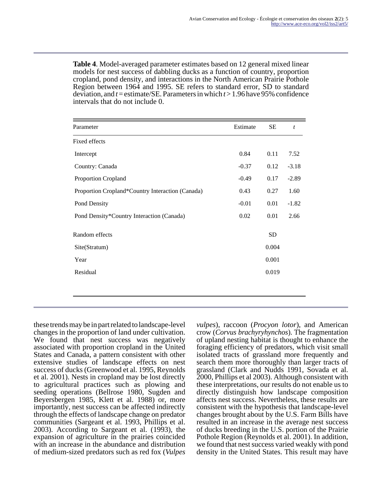**Table 4**. Model-averaged parameter estimates based on 12 general mixed linear models for nest success of dabbling ducks as a function of country, proportion cropland, pond density, and interactions in the North American Prairie Pothole Region between 1964 and 1995. SE refers to standard error, SD to standard deviation, and *t* = estimate/SE. Parameters in which *t* > 1.96 have 95% confidence intervals that do not include 0.

| Parameter                                        | Estimate | <b>SE</b> | $\boldsymbol{t}$ |  |
|--------------------------------------------------|----------|-----------|------------------|--|
| Fixed effects                                    |          |           |                  |  |
| Intercept                                        | 0.84     | 0.11      | 7.52             |  |
| Country: Canada                                  | $-0.37$  | 0.12      | $-3.18$          |  |
| Proportion Cropland                              | $-0.49$  | 0.17      | $-2.89$          |  |
| Proportion Cropland*Country Interaction (Canada) | 0.43     | 0.27      | 1.60             |  |
| Pond Density                                     | $-0.01$  | 0.01      | $-1.82$          |  |
| Pond Density*Country Interaction (Canada)        | 0.02     | 0.01      | 2.66             |  |
| Random effects                                   |          | <b>SD</b> |                  |  |
| Site(Stratum)                                    |          | 0.004     |                  |  |
| Year                                             |          | 0.001     |                  |  |
| Residual                                         |          | 0.019     |                  |  |
|                                                  |          |           |                  |  |

these trends may be in part related to landscape-level changes in the proportion of land under cultivation. We found that nest success was negatively associated with proportion cropland in the United States and Canada, a pattern consistent with other extensive studies of landscape effects on nest success of ducks (Greenwood et al. 1995, Reynolds et al. 2001). Nests in cropland may be lost directly to agricultural practices such as plowing and seeding operations (Bellrose 1980, Sugden and Beyersbergen 1985, Klett et al. 1988) or, more importantly, nest success can be affected indirectly through the effects of landscape change on predator communities (Sargeant et al. 1993, Phillips et al. 2003). According to Sargeant et al. (1993), the expansion of agriculture in the prairies coincided with an increase in the abundance and distribution of medium-sized predators such as red fox (*Vulpes*

*vulpes*), raccoon (*Procyon lotor*), and American crow (*Corvus brachyryhynchos*). The fragmentation of upland nesting habitat is thought to enhance the foraging efficiency of predators, which visit small isolated tracts of grassland more frequently and search them more thoroughly than larger tracts of grassland (Clark and Nudds 1991, Sovada et al. 2000, Phillips et al 2003). Although consistent with these interpretations, our results do not enable us to directly distinguish how landscape composition affects nest success. Nevertheless, these results are consistent with the hypothesis that landscape-level changes brought about by the U.S. Farm Bills have resulted in an increase in the average nest success of ducks breeding in the U.S. portion of the Prairie Pothole Region (Reynolds et al. 2001). In addition, we found that nest success varied weakly with pond density in the United States. This result may have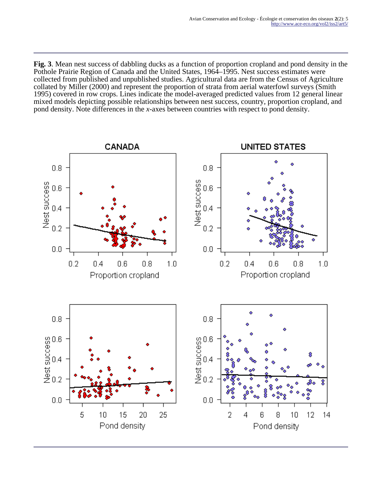**Fig. 3**. Mean nest success of dabbling ducks as a function of proportion cropland and pond density in the Pothole Prairie Region of Canada and the United States, 1964–1995. Nest success estimates were collected from published and unpublished studies. Agricultural data are from the Census of Agriculture collated by Miller (2000) and represent the proportion of strata from aerial waterfowl surveys (Smith 1995) covered in row crops. Lines indicate the model-averaged predicted values from 12 general linear mixed models depicting possible relationships between nest success, country, proportion cropland, and pond density. Note differences in the *x*-axes between countries with respect to pond density.

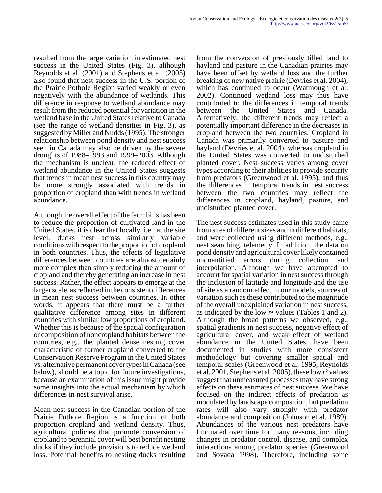resulted from the large variation in estimated nest success in the United States (Fig. 3), although Reynolds et al. (2001) and Stephens et al. (2005) also found that nest success in the U.S. portion of the Prairie Pothole Region varied weakly or even negatively with the abundance of wetlands. This difference in response to wetland abundance may result from the reduced potential for variation in the wetland base in the United States relative to Canada (see the range of wetland densities in Fig. 3), as suggested by Miller and Nudds (1995). The stronger relationship between pond density and nest success seen in Canada may also be driven by the severe droughts of 1988–1993 and 1999–2003. Although the mechanism is unclear, the reduced effect of wetland abundance in the United States suggests that trends in mean nest success in this country may be more strongly associated with trends in proportion of cropland than with trends in wetland abundance.

Although the overall effect of the farm bills has been to reduce the proportion of cultivated land in the United States, it is clear that locally, i.e., at the site level, ducks nest across similarly variable conditions with respect to the proportion of cropland in both countries. Thus, the effects of legislative differences between countries are almost certainly more complex than simply reducing the amount of cropland and thereby generating an increase in nest success. Rather, the effect appears to emerge at the larger scale, as reflected in the consistent differences in mean nest success between countries. In other words, it appears that there must be a further qualitative difference among sites in different countries with similar low proportions of cropland. Whether this is because of the spatial configuration or composition of noncropland habitats between the countries, e.g., the planted dense nesting cover characteristic of former cropland converted to the Conservation Reserve Program in the United States vs. alternative permanent cover types in Canada (see below), should be a topic for future investigations, because an examination of this issue might provide some insights into the actual mechanism by which differences in nest survival arise.

Mean nest success in the Canadian portion of the Prairie Pothole Region is a function of both proportion cropland and wetland density. Thus, agricultural policies that promote conversion of cropland to perennial cover will best benefit nesting ducks if they include provisions to reduce wetland loss. Potential benefits to nesting ducks resulting

from the conversion of previously tilled land to hayland and pasture in the Canadian prairies may have been offset by wetland loss and the further breaking of new native prairie (Devries et al. 2004), which has continued to occur (Watmough et al. 2002). Continued wetland loss may thus have contributed to the differences in temporal trends between the United States and Canada. Alternatively, the different trends may reflect a potentially important difference in the decreases in cropland between the two countries. Cropland in Canada was primarily converted to pasture and hayland (Devries et al. 2004), whereas cropland in the United States was converted to undisturbed planted cover. Nest success varies among cover types according to their abilities to provide security from predators (Greenwood et al. 1995), and thus the differences in temporal trends in nest success between the two countries may reflect the differences in cropland, hayland, pasture, and undisturbed planted cover.

The nest success estimates used in this study came from sites of different sizes and in different habitats, and were collected using different methods, e.g., nest searching, telemetry. In addition, the data on pond density and agricultural cover likely contained unquantified errors during collection and interpolation. Although we have attempted to account for spatial variation in nest success through the inclusion of latitude and longitude and the use of site as a random effect in our models, sources of variation such as these contributed to the magnitude of the overall unexplained variation in nest success, as indicated by the low *r*² values (Tables 1 and 2). Although the broad patterns we observed, e.g., spatial gradients in nest success, negative effect of agricultural cover, and weak effect of wetland abundance in the United States, have been documented in studies with more consistent methodology but covering smaller spatial and temporal scales (Greenwood et al. 1995, Reynolds et al. 2001, Stephens et al. 2005), these low *r*² values suggest that unmeasured processes may have strong effects on these estimates of nest success. We have focused on the indirect effects of predation as modulated by landscape composition, but predation rates will also vary strongly with predator abundance and composition (Johnson et al. 1989). Abundances of the various nest predators have fluctuated over time for many reasons, including changes in predator control, disease, and complex interactions among predator species (Greenwood and Sovada 1998). Therefore, including some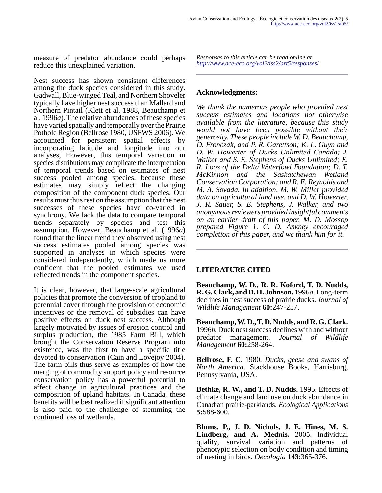measure of predator abundance could perhaps reduce this unexplained variation.

Nest success has shown consistent differences among the duck species considered in this study. Gadwall, Blue-winged Teal, and Northern Shoveler typically have higher nest success than Mallard and Northern Pintail (Klett et al. 1988, Beauchamp et al. 1996*a*). The relative abundances of these species have varied spatially and temporally over the Prairie Pothole Region (Bellrose 1980, USFWS 2006). We accounted for persistent spatial effects by incorporating latitude and longitude into our analyses, However, this temporal variation in species distributions may complicate the interpretation of temporal trends based on estimates of nest success pooled among species, because these estimates may simply reflect the changing composition of the component duck species. Our results must thus rest on the assumption that the nest successes of these species have co-varied in synchrony. We lack the data to compare temporal trends separately by species and test this assumption. However, Beauchamp et al. (1996*a*) found that the linear trend they observed using nest success estimates pooled among species was supported in analyses in which species were considered independently, which made us more confident that the pooled estimates we used reflected trends in the component species.

It is clear, however, that large-scale agricultural policies that promote the conversion of cropland to perennial cover through the provision of economic incentives or the removal of subsidies can have positive effects on duck nest success. Although largely motivated by issues of erosion control and surplus production, the 1985 Farm Bill, which brought the Conservation Reserve Program into existence, was the first to have a specific title devoted to conservation (Cain and Lovejoy 2004). The farm bills thus serve as examples of how the merging of commodity support policy and resource conservation policy has a powerful potential to affect change in agricultural practices and the composition of upland habitats. In Canada, these benefits will be best realized if significant attention is also paid to the challenge of stemming the continued loss of wetlands.

*Responses to this article can be read online at: <http://www.ace-eco.org/vol2/iss2/art5/responses/>*

#### **Acknowledgments:**

*We thank the numerous people who provided nest success estimates and locations not otherwise available from the literature, because this study would not have been possible without their generosity. These people include W. D. Beauchamp, D. Fronczak, and P. R. Garettson; K. L. Guyn and D. W. Howerter of Ducks Unlimited Canada; J. Walker and S. E. Stephens of Ducks Unlimited; E. R. Loos of the Delta Waterfowl Foundation; D. T. McKinnon and the Saskatchewan Wetland Conservation Corporation; and R. E. Reynolds and M. A. Sovada. In addition, M. W. Miller provided data on agricultural land use, and D. W. Howerter, J. R. Sauer, S. E. Stephens, J. Walker, and two anonymous reviewers provided insightful comments on an earlier draft of this paper. M. D. Mossop prepared Figure 1. C. D. Ankney encouraged completion of this paper, and we thank him for it.*

### **LITERATURE CITED**

**Beauchamp, W. D., R. R. Koford, T. D. Nudds, R. G. Clark, and D. H. Johnson.** 1996*a.* Long-term declines in nest success of prairie ducks. *Journal of Wildlife Management* **60:**247-257.

**Beauchamp, W. D., T. D. Nudds, and R. G. Clark.** 1996*b.* Duck nest success declines with and without predator management. *Journal of Wildlife Management* **60:**258-264.

**Bellrose, F. C.** 1980*. Ducks, geese and swans of North America.* Stackhouse Books, Harrisburg, Pennsylvania, USA.

**Bethke, R. W., and T. D. Nudds.** 1995. Effects of climate change and land use on duck abundance in Canadian prairie-parklands. *Ecological Applications* **5:**588-600.

**Blums, P., J. D. Nichols, J. E. Hines, M. S. Lindberg, and A. Mednis.** 2005. Individual quality, survival variation and patterns of phenotypic selection on body condition and timing of nesting in birds. *Oecologia* **143**:365-376.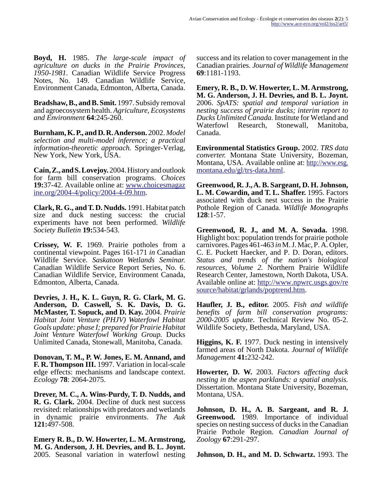**Boyd, H.** 1985. *The large-scale impact of agriculture on ducks in the Prairie Provinces, 1950-1981.* Canadian Wildlife Service Progress Notes, No. 149. Canadian Wildlife Service, Environment Canada, Edmonton, Alberta, Canada.

**Bradshaw, B., and B. Smit.** 1997. Subsidy removal and agroecosystem health. *Agriculture, Ecosystems and Environment* **64**:245-260.

**Burnham, K. P., and D. R. Anderson.** 2002. *Model selection and multi-model inference; a practical information-theoretic approach.* Springer-Verlag, New York, New York, USA.

**Cain, Z., and S. Lovejoy.** 2004. History and outlook for farm bill conservation programs. *Choices* **19:**37-42. Available online at: [www.choicesmagaz](http://www.choicesmagazine.org/2004-4/policy/2004-4-09.htm) [ine.org/2004-4/policy/2004-4-09.htm](http://www.choicesmagazine.org/2004-4/policy/2004-4-09.htm).

**Clark, R. G., and T. D. Nudds.** 1991. Habitat patch size and duck nesting success: the crucial experiments have not been performed. *Wildlife Society Bulletin* **19:**534-543.

**Crissey, W. F.** 1969. Prairie potholes from a continental viewpoint. Pages 161-171 *in* Canadian Wildlife Service. *Saskatoon Wetlands Seminar.* Canadian Wildlife Service Report Series, No. 6. Canadian Wildlife Service, Environment Canada, Edmonton, Alberta, Canada.

**Devries, J. H., K. L. Guyn, R. G. Clark, M. G. Anderson, D. Caswell, S. K. Davis, D. G. McMaster, T. Sopuck, and D. Kay.** 2004. *Prairie Habitat Joint Venture (PHJV) Waterfowl Habitat Goals update: phase I; prepared for Prairie Habitat Joint Venture Waterfowl Working Group.* Ducks Unlimited Canada, Stonewall, Manitoba, Canada.

**Donovan, T. M., P. W. Jones, E. M. Annand, and F. R. Thompson III.** 1997. Variation in local-scale edge effects: mechanisms and landscape context. *Ecology* **78**: 2064-2075.

**Drever, M. C., A. Wins-Purdy, T. D. Nudds, and R. G. Clark.** 2004. Decline of duck nest success revisited: relationships with predators and wetlands in dynamic prairie environments. *The Auk* **121:**497-508.

**Emery R. B., D. W. Howerter, L. M. Armstrong, M. G. Anderson, J. H. Devries, and B. L. Joynt.** 2005. Seasonal variation in waterfowl nesting success and its relation to cover management in the Canadian prairies. *Journal of Wildlife Management* **69**:1181-1193.

**Emery, R. B., D. W. Howerter, L. M. Armstrong, M. G. Anderson, J. H. Devries, and B. L. Joynt.** 2006. *SpATS: spatial and temporal variation in nesting success of prairie ducks; interim report to Ducks Unlimited Canada.* Institute for Wetland and Waterfowl Research, Stonewall, Manitoba, Canada.

**Environmental Statistics Group.** 2002. *TRS data converter.* Montana State University, Bozeman, Montana, USA. Available online at: [http://www.esg.](http://www.esg.montana.edu/gl/trs-data.html) [montana.edu/gl/trs-data.html.](http://www.esg.montana.edu/gl/trs-data.html)

**Greenwood, R. J., A. B. Sargeant, D. H. Johnson, L. M. Cowardin, and T. L. Shaffer.** 1995. Factors associated with duck nest success in the Prairie Pothole Region of Canada. *Wildlife Monographs* **128**:1-57.

**Greenwood, R. J., and M. A. Sovada.** 1998. Highlight box: population trends for prairie pothole carnivores. Pages 461-463 *in* M. J. Mac, P. A. Opler, C. E. Puckett Haecker, and P. D. Doran, editors. *Status and trends of the nation's biological resources, Volume 2.* Northern Prairie Wildlife Research Center, Jamestown, North Dakota, USA. Available online at: [http://www.npwrc.usgs.gov/re](http://www.npwrc.usgs.gov/resource/habitat/grlands/poptrend.htm) [source/habitat/grlands/poptrend.htm.](http://www.npwrc.usgs.gov/resource/habitat/grlands/poptrend.htm)

**Haufler, J. B., editor.** 2005. *Fish and wildlife benefits of farm bill conservation programs: 2000-2005 update*. Technical Review No. 05-2. Wildlife Society, Bethesda, Maryland, USA.

**Higgins, K. F.** 1977. Duck nesting in intensively farmed areas of North Dakota. *Journal of Wildlife Management* **41:**232-242.

**Howerter, D. W.** 2003. *Factors affecting duck nesting in the aspen parklands: a spatial analysis.* Dissertation. Montana State University, Bozeman, Montana, USA.

**Johnson, D. H., A. B. Sargeant, and R. J. Greenwood.** 1989. Importance of individual species on nesting success of ducks in the Canadian Prairie Pothole Region. *Canadian Journal of Zoology* **67**:291-297.

**Johnson, D. H., and M. D. Schwartz.** 1993. The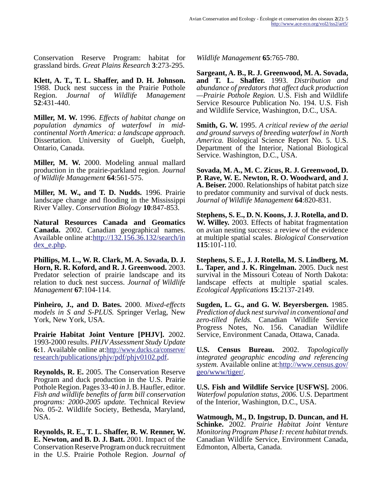Conservation Reserve Program: habitat for grassland birds. *Great Plains Research* **3**:273-295.

**Klett, A. T., T. L. Shaffer, and D. H. Johnson.** 1988. Duck nest success in the Prairie Pothole Region. *Journal of Wildlife Management* **52**:431-440.

**Miller, M. W.** 1996. *Effects of habitat change on population dynamics of waterfowl in midcontinental North America: a landscape approach.* Dissertation. University of Guelph, Guelph, Ontario, Canada.

**Miller, M. W.** 2000. Modeling annual mallard production in the prairie-parkland region. *Journal of Wildlife Management* **64**:561-575.

**Miller, M. W., and T. D. Nudds.** 1996. Prairie landscape change and flooding in the Mississippi River Valley. *Conservation Biology* **10**:847-853.

**Natural Resources Canada and Geomatics Canada.** 2002. Canadian geographical names. Available online at:[http://132.156.36.132/search/in](http://132.156.36.132/search/index_e.php) dex e.php.

**Phillips, M. L., W. R. Clark, M. A. Sovada, D. J. Horn, R. R. Koford, and R. J. Greenwood.** 2003. Predator selection of prairie landscape and its relation to duck nest success. *Journal of Wildlife Management* **67**:104-114.

**Pinheiro, J., and D. Bates.** 2000. *Mixed-effects models in S and S-PLUS.* Springer Verlag, New York, New York, USA.

**Prairie Habitat Joint Venture [PHJV].** 2002. 1993-2000 results. *PHJV Assessment Study Update* **6:**1. Available online at:[http://www.ducks.ca/conserve/](http://www.ducks.ca/conserve/research/publications/phjv/pdf/phjv0102.pdf) [research/publications/phjv/pdf/phjv0102.pdf.](http://www.ducks.ca/conserve/research/publications/phjv/pdf/phjv0102.pdf)

**Reynolds, R. E.** 2005. The Conservation Reserve Program and duck production in the U.S. Prairie Pothole Region. Pages 33-40 *in* J. B. Haufler, editor. *Fish and wildlife benefits of farm bill conservation programs: 2000-2005 update.* Technical Review No. 05-2. Wildlife Society, Bethesda, Maryland, USA.

**Reynolds, R. E., T. L. Shaffer, R. W. Renner, W. E. Newton, and B. D. J. Batt.** 2001. Impact of the Conservation Reserve Program on duck recruitment in the U.S. Prairie Pothole Region. *Journal of* *Wildlife Management* **65**:765-780.

**Sargeant, A. B., R. J. Greenwood, M. A. Sovada, and T. L. Shaffer.** 1993. *Distribution and abundance of predators that affect duck production —Prairie Pothole Region.* U.S. Fish and Wildlife Service Resource Publication No. 194. U.S. Fish and Wildlife Service, Washington, D.C., USA.

**Smith, G. W.** 1995. *A critical review of the aerial and ground surveys of breeding waterfowl in North America.* Biological Science Report No. 5. U.S. Department of the Interior, National Biological Service. Washington, D.C., USA.

**Sovada, M. A., M. C. Zicus, R. J. Greenwood, D. P. Rave, W. E. Newton, R. O. Woodward, and J. A. Beiser.** 2000. Relationships of habitat patch size to predator community and survival of duck nests. *Journal of Wildlife Management* **64**:820-831.

**Stephens, S. E., D. N. Koons, J. J. Rotella, and D. W. Willey.** 2003. Effects of habitat fragmentation on avian nesting success: a review of the evidence at multiple spatial scales. *Biological Conservation* **115**:101-110.

**Stephens, S. E., J. J. Rotella, M. S. Lindberg, M. L. Taper, and J. K. Ringelman.** 2005. Duck nest survival in the Missouri Coteau of North Dakota: landscape effects at multiple spatial scales. *Ecological Applications* **15**:2137-2149.

**Sugden, L. G., and G. W. Beyersbergen.** 1985. *Prediction of duck nest survival in conventional and zero-tilled fields.* Canadian Wildlife Service Progress Notes, No. 156. Canadian Wildlife Service, Environment Canada, Ottawa, Canada.

**U.S. Census Bureau.** 2002. *Topologically integrated geographic encoding and referencing system.* Available online at:[http://www.census.gov/](http://www.census.gov/geo/www/tiger/) [geo/www/tiger/](http://www.census.gov/geo/www/tiger/).

**U.S. Fish and Wildlife Service [USFWS].** 2006. *Waterfowl population status, 2006.* U.S. Department of the Interior, Washington, D.C., USA.

**Watmough, M., D. Ingstrup, D. Duncan, and H. Schinke.** 2002. *Prairie Habitat Joint Venture Monitoring Program Phase I: recent habitat trends.* Canadian Wildlife Service, Environment Canada, Edmonton, Alberta, Canada.